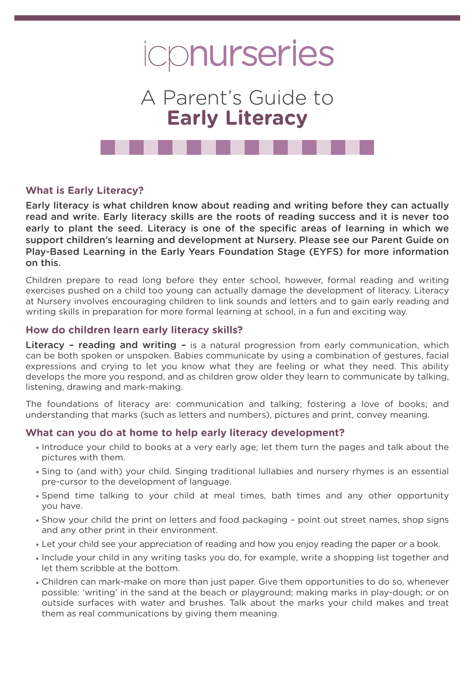

# A Parent's Guide to **Early Literacy**

## **What is Early Literacy?**

Early literacy is what children know about reading and writing before they can actually read and write. Early literacy skills are the roots of reading success and it is never too early to plant the seed. Literacy is one of the specific areas of learning in which we support children's learning and development at Nursery. Please see our Parent Guide on Play-Based Learning in the Early Years Foundation Stage (EYFS) for more information on this.

Children prepare to read long before they enter school, however, formal reading and writing exercises pushed on a child too young can actually damage the development of literacy. Literacy at Nursery involves encouraging children to link sounds and letters and to gain early reading and writing skills in preparation for more formal learning at school, in a fun and exciting way.

#### **How do children learn early literacy skills?**

Literacy - reading and writing - is a natural progression from early communication, which can be both spoken or unspoken. Babies communicate by using a combination of gestures, facial expressions and crying to let you know what they are feeling or what they need. This ability develops the more you respond, and as children grow older they learn to communicate by talking, listening, drawing and mark-making.

The foundations of literacy are: communication and talking; fostering a love of books; and understanding that marks (such as letters and numbers), pictures and print, convey meaning.

#### **What can you do at home to help early literacy development?**

- Introduce your child to books at a very early age; let them turn the pages and talk about the pictures with them.
- Sing to (and with) your child. Singing traditional lullabies and nursery rhymes is an essential pre-cursor to the development of language.
- Spend time talking to your child at meal times, bath times and any other opportunity you have.
- Show your child the print on letters and food packaging point out street names, shop signs and any other print in their environment.
- Let your child see your appreciation of reading and how you enjoy reading the paper or a book.
- Include your child in any writing tasks you do, for example, write a shopping list together and let them scribble at the bottom.
- Children can mark-make on more than just paper. Give them opportunities to do so, whenever possible: 'writing' in the sand at the beach or playground; making marks in play-dough; or on outside surfaces with water and brushes. Talk about the marks your child makes and treat them as real communications by giving them meaning.